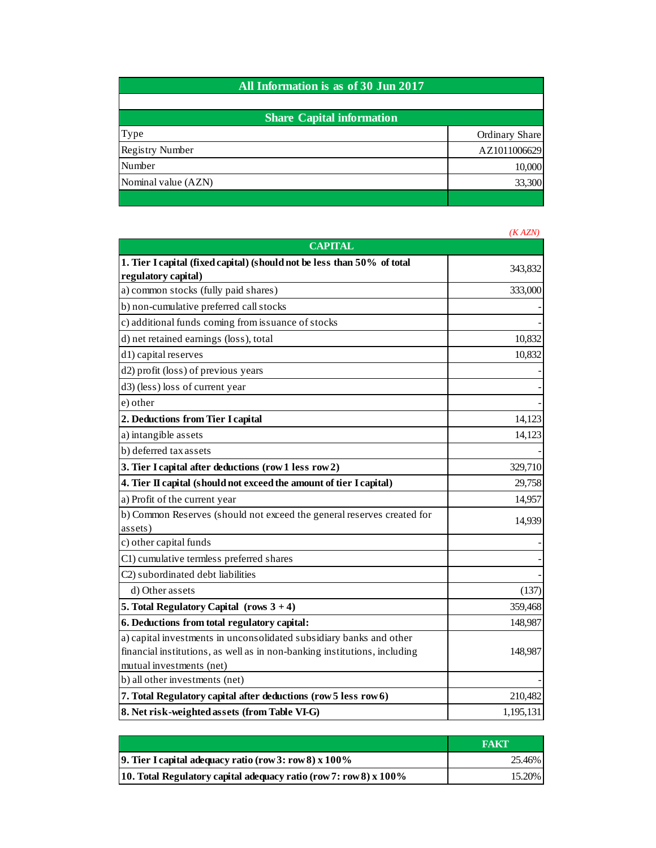| All Information is as of 30 Jun 2017 |                |
|--------------------------------------|----------------|
| <b>Share Capital information</b>     |                |
| Type                                 | Ordinary Share |
| <b>Registry Number</b>               | AZ1011006629   |
| Number                               | 10,000         |
| Nominal value (AZN)                  | 33,300         |

|                                                                           | (KAZN)    |
|---------------------------------------------------------------------------|-----------|
| <b>CAPITAL</b>                                                            |           |
| 1. Tier I capital (fixed capital) (should not be less than 50% of total   | 343,832   |
| regulatory capital)                                                       |           |
| a) common stocks (fully paid shares)                                      | 333,000   |
| b) non-cumulative preferred call stocks                                   |           |
| c) additional funds coming from issuance of stocks                        |           |
| d) net retained earnings (loss), total                                    | 10,832    |
| d <sub>1</sub> ) capital reserves                                         | 10,832    |
| d2) profit (loss) of previous years                                       |           |
| d3) (less) loss of current year                                           |           |
| e) other                                                                  |           |
| 2. Deductions from Tier I capital                                         | 14,123    |
| a) intangible assets                                                      | 14,123    |
| b) deferred tax assets                                                    |           |
| 3. Tier I capital after deductions (row 1 less row 2)                     | 329,710   |
| 4. Tier II capital (should not exceed the amount of tier I capital)       | 29,758    |
| a) Profit of the current year                                             | 14,957    |
| b) Common Reserves (should not exceed the general reserves created for    | 14,939    |
| assets)                                                                   |           |
| c) other capital funds                                                    |           |
| C1) cumulative termless preferred shares                                  |           |
| C2) subordinated debt liabilities                                         |           |
| d) Other assets                                                           | (137)     |
| 5. Total Regulatory Capital (rows $3 + 4$ )                               | 359,468   |
| 6. Deductions from total regulatory capital:                              | 148,987   |
| a) capital investments in unconsolidated subsidiary banks and other       |           |
| financial institutions, as well as in non-banking institutions, including | 148,987   |
| mutual investments (net)                                                  |           |
| b) all other investments (net)                                            |           |
| 7. Total Regulatory capital after deductions (row 5 less row 6)           | 210,482   |
| 8. Net risk-weighted assets (from Table VI-G)                             | 1,195,131 |

|                                                                     | <b>FAKT</b> |
|---------------------------------------------------------------------|-------------|
| <b>9.</b> Tier I capital adequacy ratio (row 3: row 8) $x\,100\%$   | 25.46%      |
| 10. Total Regulatory capital adequacy ratio (row 7: row 8) $x$ 100% | 15.20%      |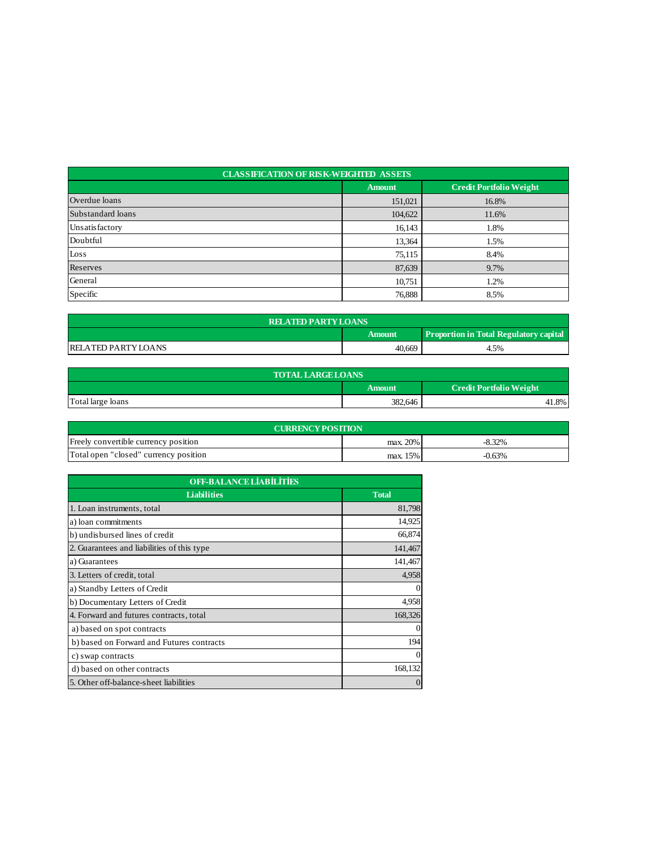| <b>CLASSIFICATION OF RISK-WEIGHTED ASSETS</b> |               |                                |  |  |
|-----------------------------------------------|---------------|--------------------------------|--|--|
|                                               | <b>Amount</b> | <b>Credit Portfolio Weight</b> |  |  |
| Overdue loans                                 | 151,021       | 16.8%                          |  |  |
| Substandard loans                             | 104,622       | 11.6%                          |  |  |
| Unsatisfactory                                | 16,143        | 1.8%                           |  |  |
| Doubtful                                      | 13,364        | 1.5%                           |  |  |
| Loss                                          | 75,115        | 8.4%                           |  |  |
| Reserves                                      | 87,639        | 9.7%                           |  |  |
| General                                       | 10,751        | 1.2%                           |  |  |
| Specific                                      | 76,888        | 8.5%                           |  |  |

| <b>RELATED PARTY LOANS</b>                              |        |      |  |  |
|---------------------------------------------------------|--------|------|--|--|
| <b>Proportion in Total Regulatory capital</b><br>Amount |        |      |  |  |
| IRELATED PARTY LOANS                                    | 40,669 | 4.5% |  |  |

| <b>TOTAL LARGE LOANS</b> |         |                                |  |  |
|--------------------------|---------|--------------------------------|--|--|
|                          | Amount  | <b>Credit Portfolio Weight</b> |  |  |
| Total large loans        | 382,646 | 41.8%                          |  |  |

| <b>CURRENCY POSITION</b>              |             |          |  |  |
|---------------------------------------|-------------|----------|--|--|
| Freely convertible currency position  | $max. 20\%$ | $-8.32%$ |  |  |
| Total open "closed" currency position | $max. 15\%$ | $-0.63%$ |  |  |

| <b>OFF-BALANCE LIABILITIES</b>             |              |  |
|--------------------------------------------|--------------|--|
| <b>Liabilities</b>                         | <b>Total</b> |  |
| 1. Loan instruments, total                 | 81,798       |  |
| a) loan commitments                        | 14,925       |  |
| b) undisbursed lines of credit             | 66,874       |  |
| 2. Guarantees and liabilities of this type | 141,467      |  |
| a) Guarantees                              | 141,467      |  |
| 3. Letters of credit, total                | 4,958        |  |
| a) Standby Letters of Credit               | 0            |  |
| b) Documentary Letters of Credit           | 4,958        |  |
| 4. Forward and futures contracts, total    | 168,326      |  |
| a) based on spot contracts                 | 0            |  |
| b) based on Forward and Futures contracts  | 194          |  |
| c) swap contracts                          | $\Omega$     |  |
| d) based on other contracts                | 168,132      |  |
| 5. Other off-balance-sheet liabilities     | $\theta$     |  |